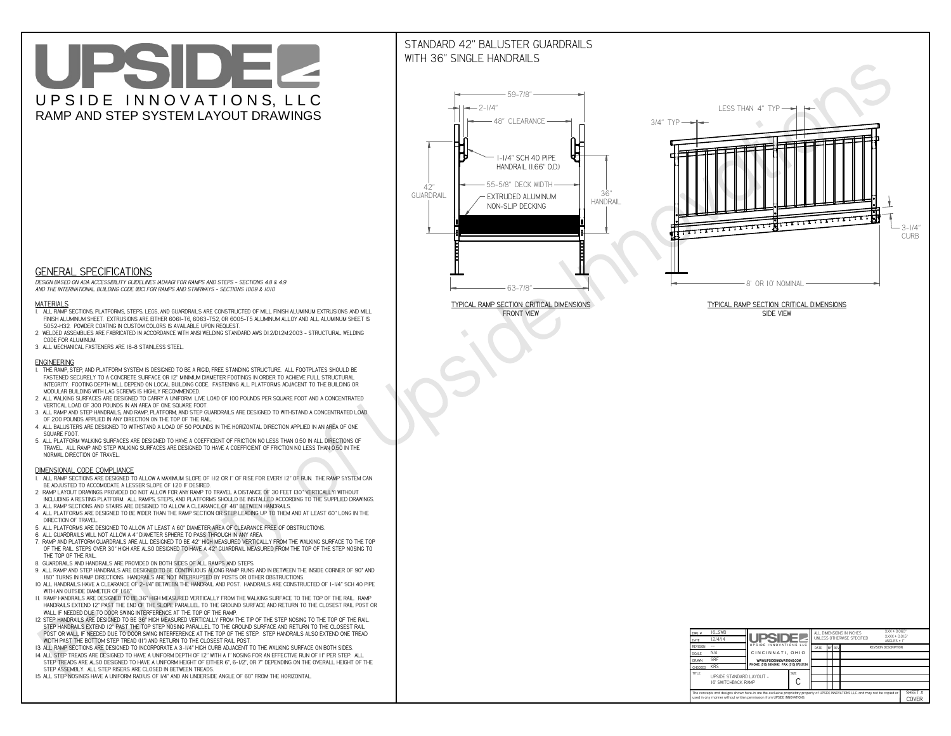# UPSIDEL UPSIDE INNOVATIONS, LLC RAMP AND STEP SYSTEM LAYOUT DRAWINGS

## STANDARD 42" BALUSTER GUARDRAILSWITH 36" SINGLE HANDRAILS

**FRONT VIEW**





**GENERAL SPECIFICATIONS**

 *DESIGN BASED ON ADA ACCESSIBILITY GUIDELINES (ADAAG) FOR RAMPS AND STEPS - SECTIONS 4.8 & 4.9AND THE INTERNATIONAL BUILDING CODE (IBC) FOR RAMPS AND STAIRWAYS - SECTIONS 1009 & 1010*

#### **MATERIALS**

- **1. ALL RAMP SECTIONS, PLATFORMS, STEPS, LEGS, AND GUARDRAILS ARE CONSTRUCTED OF MILL FINISH ALUMINUM EXTRUSIONS AND MILL FINISH ALUMINUM SHEET. EXTRUSIONS ARE EITHER 6061-T6, 6063-T52, OR 6005-T5 ALUMINUM ALLOY AND ALL ALUMINUM SHEET IS 5052-H32. POWDER COATING IN CUSTOM COLORS IS AVAILABLE UPON REQUEST.**
- **2. WELDED ASSEMBLIES ARE FABRICATED IN ACCORDANCE WITH ANSI WELDING STANDARD AWS D1.2/D1.2M:2003 STRUCTURAL WELDING CODE FOR ALUMINUM.**
- **3. ALL MECHANICAL FASTENERS ARE 18-8 STAINLESS STEEL.**

#### **ENGINEERING**

- **1. THE RAMP, STEP, AND PLATFORM SYSTEM IS DESIGNED TO BE A RIGID, FREE STANDING STRUCTURE. ALL FOOTPLATES SHOULD BE FASTENED SECURELY TO A CONCRETE SURFACE OR 12" MINIMUM DIAMETER FOOTINGS IN ORDER TO ACHIEVE FULL STRUCTURAL INTEGRITY. FOOTING DEPTH WILL DEPEND ON LOCAL BUILDING CODE. FASTENING ALL PLATFORMS ADJACENT TO THE BUILDING OR MODULAR BUILDING WITH LAG SCREWS IS HIGHLY RECOMMENDED.**
- **2. ALL WALKING SURFACES ARE DESIGNED TO CARRY A UNIFORM LIVE LOAD OF 100 POUNDS PER SQUARE FOOT AND A CONCENTRATED VERTICAL LOAD OF 300 POUNDS IN AN AREA OF ONE SQUARE FOOT.**
- **3. ALL RAMP AND STEP HANDRAILS, AND RAMP, PLATFORM, AND STEP GUARDRAILS ARE DESIGNED TO WITHSTAND A CONCENTRATED LOAD OF 200 POUNDS APPLIED IN ANY DIRECTION ON THE TOP OF THE RAIL.**
- **4. ALL BALUSTERS ARE DESIGNED TO WITHSTAND A LOAD OF 50 POUNDS IN THE HORIZONTAL DIRECTION APPLIED IN AN AREA OF ONE SQUARE FOOT.**
- **5. ALL PLATFORM WALKING SURFACES ARE DESIGNED TO HAVE A COEFFICIENT OF FRICTION NO LESS THAN 0.50 IN ALL DIRECTIONS OF TRAVEL. ALL RAMP AND STEP WALKING SURFACES ARE DESIGNED TO HAVE A COEFFICIENT OF FRICTION NO LESS THAN 0.50 IN THE NORMAL DIRECTION OF TRAVEL.**

| $DWG.$ #<br>DATE                                                                                                                                                                                            | 16_SWB<br>12/4/14                                      | <b>UPSIDEZ</b><br>UPSIDE INNOVATIONS LLC  |  | ALL DIMENSIONS IN INCHES<br>UNLESS OTHERWISE SPECIFIED |  |  |  | XXX ± 0.060"<br>$XXX \pm 0.015$ "<br>ANGLES $\pm$ 1° |  |
|-------------------------------------------------------------------------------------------------------------------------------------------------------------------------------------------------------------|--------------------------------------------------------|-------------------------------------------|--|--------------------------------------------------------|--|--|--|------------------------------------------------------|--|
| <b>REVISION</b>                                                                                                                                                                                             |                                                        |                                           |  | BY REV<br>DATE                                         |  |  |  | <b>REVISION DESCRIPTION</b>                          |  |
| <b>SCALE</b>                                                                                                                                                                                                | N/A                                                    | CINCINNATI, OHIO                          |  |                                                        |  |  |  |                                                      |  |
| <b>DRAWN</b>                                                                                                                                                                                                | <b>SRF</b>                                             | WWW.UPSIDEINNOVATIONS.COM                 |  |                                                        |  |  |  |                                                      |  |
| CHECKED                                                                                                                                                                                                     | <b>KRS</b>                                             | PHONE: (513) 889-2492 FAX: (513) 672-2124 |  |                                                        |  |  |  |                                                      |  |
| <b>TITLE</b>                                                                                                                                                                                                | UPSIDE STANDARD LAYOUT -<br><b>16' SWITCHBACK RAMP</b> |                                           |  |                                                        |  |  |  |                                                      |  |
| The concepts and designs shown here-in are the exclusive proprietary property of UPSIDE INNOVATIONS LLC. and may not be copied or<br>used in any manner without written permission from UPSIDE INNOVATIONS. |                                                        |                                           |  |                                                        |  |  |  | SHEET #<br><b>COVER</b>                              |  |

### **DIMENSIONAL CODE COMPLIANCE**

- **1. ALL RAMP SECTIONS ARE DESIGNED TO ALLOW A MAXIMUM SLOPE OF 1:12 OR 1" OF RISE FOR EVERY 12" OF RUN. THE RAMP SYSTEM CAN BE ADJUSTED TO ACCOMODATE A LESSER SLOPE OF 1:20 IF DESIRED.**
- **2. RAMP LAYOUT DRAWINGS PROVIDED DO NOT ALLOW FOR ANY RAMP TO TRAVEL A DISTANCE OF 30 FEET (30" VERTICALLY) WITHOUT INCLUDING A RESTING PLATFORM. ALL RAMPS, STEPS, AND PLATFORMS SHOULD BE INSTALLED ACCORDING TO THE SUPPLIED DRAWINGS.**
- **3. ALL RAMP SECTIONS AND STAIRS ARE DESIGNED TO ALLOW A CLEARANCE OF 48" BETWEEN HANDRAILS.**
- **4. ALL PLATFORMS ARE DESIGNED TO BE WIDER THAN THE RAMP SECTION OR STEP LEADING UP TO THEM AND AT LEAST 60" LONG IN THE DIRECTION OF TRAVEL.**
- **5. ALL PLATFORMS ARE DESIGNED TO ALLOW AT LEAST A 60" DIAMETER AREA OF CLEARANCE FREE OF OBSTRUCTIONS.**
- **6. ALL GUARDRAILS WILL NOT ALLOW A 4" DIAMETER SPHERE TO PASS THROUGH IN ANY AREA.**
- **7. RAMP AND PLATFORM GUARDRAILS ARE ALL DESIGNED TO BE 42" HIGH MEASURED VERTICALLY FROM THE WALKING SURFACE TO THE TOP OF THE RAIL. STEPS OVER 30" HIGH ARE ALSO DESIGNED TO HAVE A 42" GUARDRAIL MEASURED FROM THE TOP OF THE STEP NOSING TO THE TOP OF THE RAIL.**
- **8. GUARDRAILS AND HANDRAILS ARE PROVIDED ON BOTH SIDES OF ALL RAMPS AND STEPS.**
- **9. ALL RAMP AND STEP HANDRAILS ARE DESIGNED TO BE CONTINUOUS ALONG RAMP RUNS AND IN BETWEEN THE INSIDE CORNER OF 90° AND 180° TURNS IN RAMP DIRECTIONS. HANDRAILS ARE NOT INTERRUPTED BY POSTS OR OTHER OBSTRUCTIONS.**
- **10. ALL HANDRAILS HAVE A CLEARANCE OF 2-1/4" BETWEEN THE HANDRAIL AND POST. HANDRAILS ARE CONSTRUCTED OF 1-1/4" SCH 40 PIPE WITH AN OUTSIDE DIAMETER OF 1.66"**
- **11. RAMP HANDRAILS ARE DESIGNED TO BE 36" HIGH MEASURED VERTICALLY FROM THE WALKING SURFACE TO THE TOP OF THE RAIL. RAMP HANDRAILS EXTEND 12" PAST THE END OF THE SLOPE PARALLEL TO THE GROUND SURFACE AND RETURN TO THE CLOSEST RAIL POST OR WALL IF NEEDED DUE TO DOOR SWING INTERFERENCE AT THE TOP OF THE RAMP.**
- **12. STEP HANDRAILS ARE DESIGNED TO BE 36" HIGH MEASURED VERTICALLY FROM THE TIP OF THE STEP NOSING TO THE TOP OF THE RAIL. STEP HANDRAILS EXTEND 12" PAST THE TOP STEP NOSING PARALLEL TO THE GROUND SURFACE AND RETURN TO THE CLOSEST RAIL POST OR WALL IF NEEDED DUE TO DOOR SWING INTERFERENCE AT THE TOP OF THE STEP. STEP HANDRAILS ALSO EXTEND ONE TREAD**
- **WIDTH PAST THE BOTTOM STEP TREAD (11") AND RETURN TO THE CLOSEST RAIL POST.**
- **13. ALL RAMP SECTIONS ARE DESIGNED TO INCORPORATE A 3-1/4" HIGH CURB ADJACENT TO THE WALKING SURFACE ON BOTH SIDES.**
- **14. ALL STEP TREADS ARE DESIGNED TO HAVE A UNIFORM DEPTH OF 12" WITH A 1" NOSING FOR AN EFFECTIVE RUN OF 11" PER STEP. ALL STEP TREADS ARE ALSO DESIGNED TO HAVE A UNIFORM HEIGHT OF EITHER 6", 6-1/2", OR 7" DEPENDING ON THE OVERALL HEIGHT OF THE STEP ASSEMBLY. ALL STEP RISERS ARE CLOSED IN BETWEEN TREADS.**
- **15. ALL STEP NOSINGS HAVE A UNIFORM RADIUS OF 1/4" AND AN UNDERSIDE ANGLE OF 60° FROM THE HORIZONTAL.**